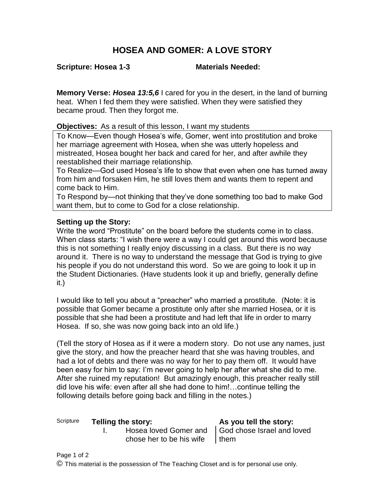## **HOSEA AND GOMER: A LOVE STORY**

**Scripture: Hosea 1-3 Materials Needed:**

**Memory Verse:** *Hosea 13:5,6* I cared for you in the desert, in the land of burning heat. When I fed them they were satisfied. When they were satisfied they became proud. Then they forgot me.

**Objectives:** As a result of this lesson, I want my students

To Know—Even though Hosea's wife, Gomer, went into prostitution and broke her marriage agreement with Hosea, when she was utterly hopeless and mistreated, Hosea bought her back and cared for her, and after awhile they reestablished their marriage relationship.

To Realize—God used Hosea's life to show that even when one has turned away from him and forsaken Him, he still loves them and wants them to repent and come back to Him.

To Respond by—not thinking that they've done something too bad to make God want them, but to come to God for a close relationship.

## **Setting up the Story:**

Write the word "Prostitute" on the board before the students come in to class. When class starts: "I wish there were a way I could get around this word because this is not something I really enjoy discussing in a class. But there is no way around it. There is no way to understand the message that God is trying to give his people if you do not understand this word. So we are going to look it up in the Student Dictionaries. (Have students look it up and briefly, generally define it.)

I would like to tell you about a "preacher" who married a prostitute. (Note: it is possible that Gomer became a prostitute only after she married Hosea, or it is possible that she had been a prostitute and had left that life in order to marry Hosea. If so, she was now going back into an old life.)

(Tell the story of Hosea as if it were a modern story. Do not use any names, just give the story, and how the preacher heard that she was having troubles, and had a lot of debts and there was no way for her to pay them off. It would have been easy for him to say: I'm never going to help her after what she did to me. After she ruined my reputation! But amazingly enough, this preacher really still did love his wife: even after all she had done to him!…continue telling the following details before going back and filling in the notes.)

## Scripture **Telling the story: As you tell the story:**

I. Hosea loved Gomer and chose her to be his wife

God chose Israel and loved them